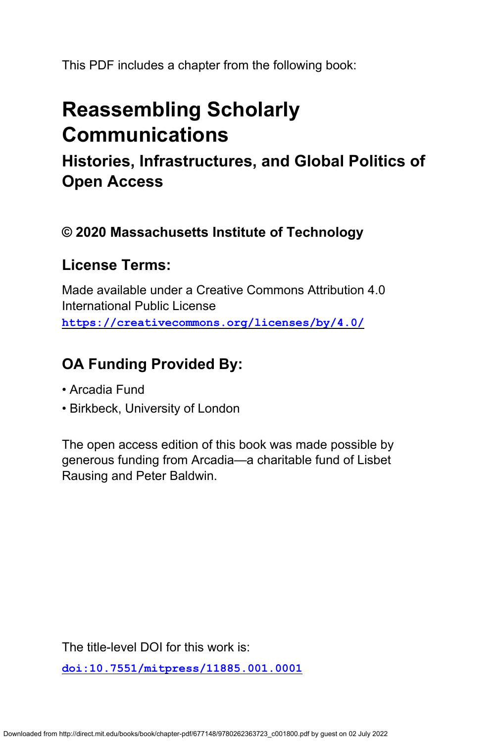This PDF includes a chapter from the following book:

# **Reassembling Scholarly Communications**

**Histories, Infrastructures, and Global Politics of Open Access**

## **© 2020 Massachusetts Institute of Technology**

## **License Terms:**

Made available under a Creative Commons Attribution 4.0 International Public License **<https://creativecommons.org/licenses/by/4.0/>**

# **OA Funding Provided By:**

- Arcadia Fund
- Birkbeck, University of London

The open access edition of this book was made possible by generous funding from Arcadia—a charitable fund of Lisbet Rausing and Peter Baldwin.

The title-level DOI for this work is:

**[doi:10.7551/mitpress/11885.001.0001](https://doi.org/10.7551/mitpress/11885.001.0001)**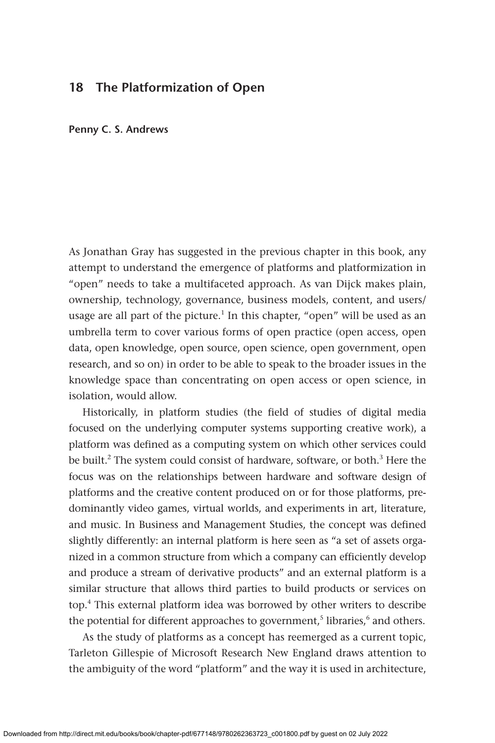### **18 The Platformization of Open**

**Penny C. S. Andrews**

As Jonathan Gray has suggested in the previous chapter in this book, any attempt to understand the emergence of platforms and platformization in "open" needs to take a multifaceted approach. As van Dijck makes plain, ownership, technology, governance, business models, content, and users/ usage are all part of the picture.<sup>1</sup> In this chapter, "open" will be used as an umbrella term to cover various forms of open practice (open access, open data, open knowledge, open source, open science, open government, open research, and so on) in order to be able to speak to the broader issues in the knowledge space than concentrating on open access or open science, in isolation, would allow.

Historically, in platform studies (the field of studies of digital media focused on the underlying computer systems supporting creative work), a platform was defined as a computing system on which other services could be built.<sup>2</sup> The system could consist of hardware, software, or both.<sup>3</sup> Here the focus was on the relationships between hardware and software design of platforms and the creative content produced on or for those platforms, predominantly video games, virtual worlds, and experiments in art, literature, and music. In Business and Management Studies, the concept was defined slightly differently: an internal platform is here seen as "a set of assets organized in a common structure from which a company can efficiently develop and produce a stream of derivative products" and an external platform is a similar structure that allows third parties to build products or services on top.4 This external platform idea was borrowed by other writers to describe the potential for different approaches to government,<sup>5</sup> libraries,<sup>6</sup> and others.

As the study of platforms as a concept has reemerged as a current topic, Tarleton Gillespie of Microsoft Research New England draws attention to the ambiguity of the word "platform" and the way it is used in architecture,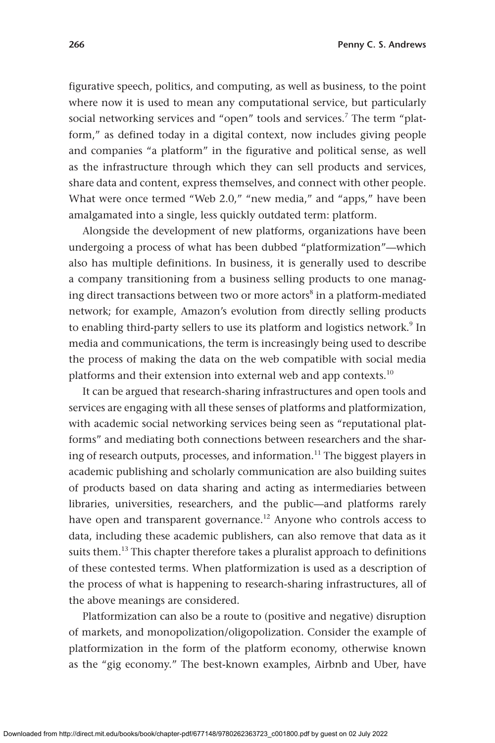figurative speech, politics, and computing, as well as business, to the point where now it is used to mean any computational service, but particularly social networking services and "open" tools and services.<sup>7</sup> The term "platform," as defined today in a digital context, now includes giving people and companies "a platform" in the figurative and political sense, as well as the infrastructure through which they can sell products and services, share data and content, express themselves, and connect with other people. What were once termed "Web 2.0," "new media," and "apps," have been amalgamated into a single, less quickly outdated term: platform.

Alongside the development of new platforms, organizations have been undergoing a process of what has been dubbed "platformization"—which also has multiple definitions. In business, it is generally used to describe a company transitioning from a business selling products to one managing direct transactions between two or more actors<sup>8</sup> in a platform-mediated network; for example, Amazon's evolution from directly selling products to enabling third-party sellers to use its platform and logistics network.<sup>9</sup> In media and communications, the term is increasingly being used to describe the process of making the data on the web compatible with social media platforms and their extension into external web and app contexts.<sup>10</sup>

It can be argued that research-sharing infrastructures and open tools and services are engaging with all these senses of platforms and platformization, with academic social networking services being seen as "reputational platforms" and mediating both connections between researchers and the sharing of research outputs, processes, and information.<sup>11</sup> The biggest players in academic publishing and scholarly communication are also building suites of products based on data sharing and acting as intermediaries between libraries, universities, researchers, and the public—and platforms rarely have open and transparent governance.<sup>12</sup> Anyone who controls access to data, including these academic publishers, can also remove that data as it suits them.<sup>13</sup> This chapter therefore takes a pluralist approach to definitions of these contested terms. When platformization is used as a description of the process of what is happening to research-sharing infrastructures, all of the above meanings are considered.

Platformization can also be a route to (positive and negative) disruption of markets, and monopolization/oligopolization. Consider the example of platformization in the form of the platform economy, otherwise known as the "gig economy." The best-known examples, Airbnb and Uber, have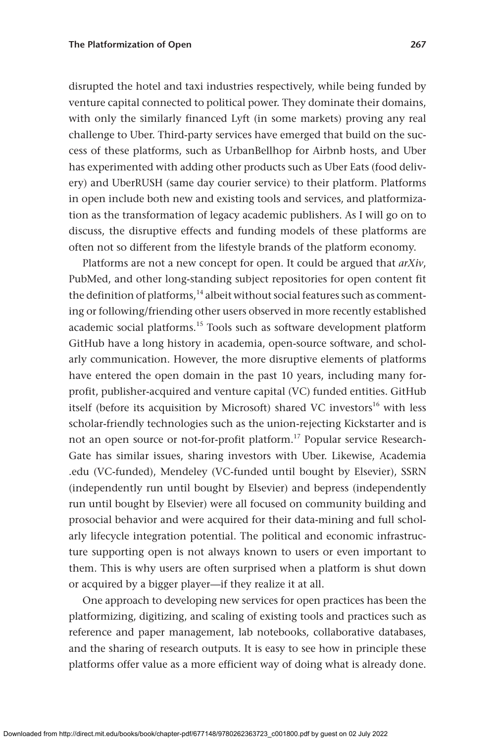disrupted the hotel and taxi industries respectively, while being funded by venture capital connected to political power. They dominate their domains, with only the similarly financed Lyft (in some markets) proving any real challenge to Uber. Third-party services have emerged that build on the success of these platforms, such as UrbanBellhop for Airbnb hosts, and Uber has experimented with adding other products such as Uber Eats (food delivery) and UberRUSH (same day courier service) to their platform. Platforms in open include both new and existing tools and services, and platformization as the transformation of legacy academic publishers. As I will go on to discuss, the disruptive effects and funding models of these platforms are often not so different from the lifestyle brands of the platform economy.

Platforms are not a new concept for open. It could be argued that *arXiv*, PubMed, and other long-standing subject repositories for open content fit the definition of platforms, $14$  albeit without social features such as commenting or following/friending other users observed in more recently established academic social platforms.15 Tools such as software development platform GitHub have a long history in academia, open-source software, and scholarly communication. However, the more disruptive elements of platforms have entered the open domain in the past 10 years, including many forprofit, publisher-acquired and venture capital (VC) funded entities. GitHub itself (before its acquisition by Microsoft) shared VC investors<sup>16</sup> with less scholar-friendly technologies such as the union-rejecting Kickstarter and is not an open source or not-for-profit platform.<sup>17</sup> Popular service Research-Gate has similar issues, sharing investors with Uber. Likewise, Academia .edu (VC-funded), Mendeley (VC-funded until bought by Elsevier), SSRN (independently run until bought by Elsevier) and bepress (independently run until bought by Elsevier) were all focused on community building and prosocial behavior and were acquired for their data-mining and full scholarly lifecycle integration potential. The political and economic infrastructure supporting open is not always known to users or even important to them. This is why users are often surprised when a platform is shut down or acquired by a bigger player—if they realize it at all.

One approach to developing new services for open practices has been the platformizing, digitizing, and scaling of existing tools and practices such as reference and paper management, lab notebooks, collaborative databases, and the sharing of research outputs. It is easy to see how in principle these platforms offer value as a more efficient way of doing what is already done.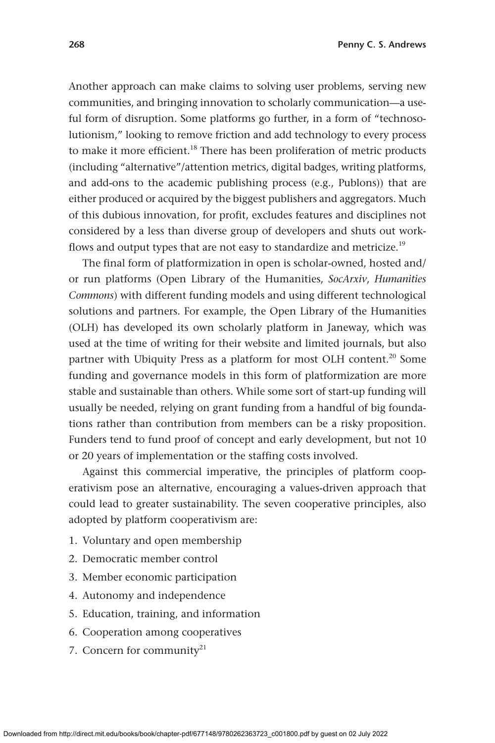Another approach can make claims to solving user problems, serving new communities, and bringing innovation to scholarly communication—a useful form of disruption. Some platforms go further, in a form of "technosolutionism," looking to remove friction and add technology to every process to make it more efficient.<sup>18</sup> There has been proliferation of metric products (including "alternative"/attention metrics, digital badges, writing platforms, and add-ons to the academic publishing process (e.g., Publons)) that are either produced or acquired by the biggest publishers and aggregators. Much of this dubious innovation, for profit, excludes features and disciplines not considered by a less than diverse group of developers and shuts out workflows and output types that are not easy to standardize and metricize.<sup>19</sup>

The final form of platformization in open is scholar-owned, hosted and/ or run platforms (Open Library of the Humanities, *SocArxiv*, *Humanities Commons*) with different funding models and using different technological solutions and partners. For example, the Open Library of the Humanities (OLH) has developed its own scholarly platform in Janeway, which was used at the time of writing for their website and limited journals, but also partner with Ubiquity Press as a platform for most OLH content.<sup>20</sup> Some funding and governance models in this form of platformization are more stable and sustainable than others. While some sort of start-up funding will usually be needed, relying on grant funding from a handful of big foundations rather than contribution from members can be a risky proposition. Funders tend to fund proof of concept and early development, but not 10 or 20 years of implementation or the staffing costs involved.

Against this commercial imperative, the principles of platform cooperativism pose an alternative, encouraging a values-driven approach that could lead to greater sustainability. The seven cooperative principles, also adopted by platform cooperativism are:

- 1. Voluntary and open membership
- 2. Democratic member control
- 3. Member economic participation
- 4. Autonomy and independence
- 5. Education, training, and information
- 6. Cooperation among cooperatives
- 7. Concern for community $21$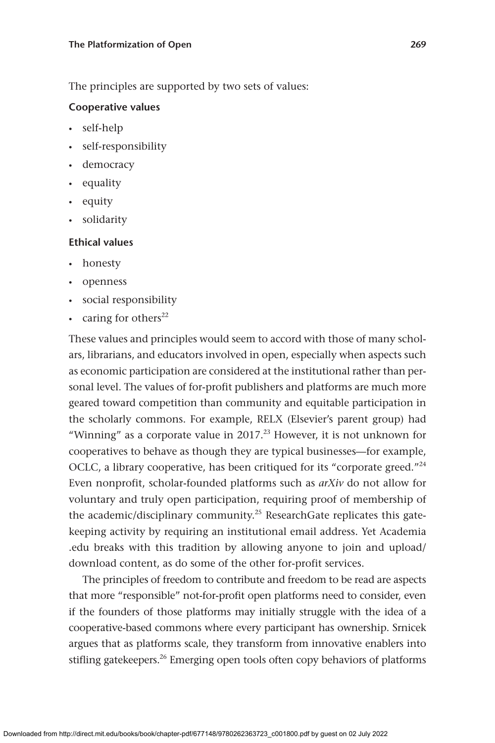The principles are supported by two sets of values:

#### **Cooperative values**

- self-help
- self-responsibility
- democracy
- equality
- equity
- solidarity

### **Ethical values**

- honesty
- openness
- social responsibility
- caring for others<sup>22</sup>

These values and principles would seem to accord with those of many scholars, librarians, and educators involved in open, especially when aspects such as economic participation are considered at the institutional rather than personal level. The values of for-profit publishers and platforms are much more geared toward competition than community and equitable participation in the scholarly commons. For example, RELX (Elsevier's parent group) had "Winning" as a corporate value in  $2017<sup>23</sup>$  However, it is not unknown for cooperatives to behave as though they are typical businesses—for example, OCLC, a library cooperative, has been critiqued for its "corporate greed."<sup>24</sup> Even nonprofit, scholar-founded platforms such as *arXiv* do not allow for voluntary and truly open participation, requiring proof of membership of the academic/disciplinary community.<sup>25</sup> ResearchGate replicates this gatekeeping activity by requiring an institutional email address. Yet Academia .edu breaks with this tradition by allowing anyone to join and upload/ download content, as do some of the other for-profit services.

The principles of freedom to contribute and freedom to be read are aspects that more "responsible" not-for-profit open platforms need to consider, even if the founders of those platforms may initially struggle with the idea of a cooperative-based commons where every participant has ownership. Srnicek argues that as platforms scale, they transform from innovative enablers into stifling gatekeepers.<sup>26</sup> Emerging open tools often copy behaviors of platforms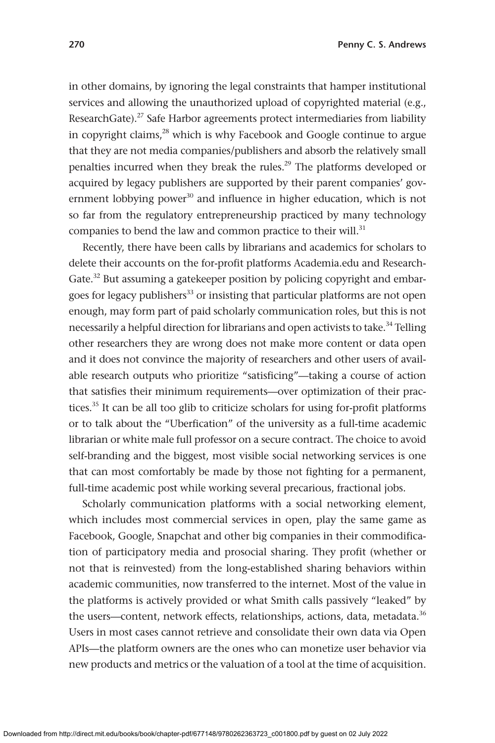in other domains, by ignoring the legal constraints that hamper institutional services and allowing the unauthorized upload of copyrighted material (e.g., ResearchGate).<sup>27</sup> Safe Harbor agreements protect intermediaries from liability in copyright claims,<sup>28</sup> which is why Facebook and Google continue to argue that they are not media companies/publishers and absorb the relatively small penalties incurred when they break the rules.<sup>29</sup> The platforms developed or acquired by legacy publishers are supported by their parent companies' government lobbying power<sup>30</sup> and influence in higher education, which is not so far from the regulatory entrepreneurship practiced by many technology companies to bend the law and common practice to their will.<sup>31</sup>

Recently, there have been calls by librarians and academics for scholars to delete their accounts on the for-profit platforms Academia.edu and Research-Gate.<sup>32</sup> But assuming a gatekeeper position by policing copyright and embargoes for legacy publishers<sup>33</sup> or insisting that particular platforms are not open enough, may form part of paid scholarly communication roles, but this is not necessarily a helpful direction for librarians and open activists to take.<sup>34</sup> Telling other researchers they are wrong does not make more content or data open and it does not convince the majority of researchers and other users of available research outputs who prioritize "satisficing"—taking a course of action that satisfies their minimum requirements—over optimization of their practices.<sup>35</sup> It can be all too glib to criticize scholars for using for-profit platforms or to talk about the "Uberfication" of the university as a full-time academic librarian or white male full professor on a secure contract. The choice to avoid self-branding and the biggest, most visible social networking services is one that can most comfortably be made by those not fighting for a permanent, full-time academic post while working several precarious, fractional jobs.

Scholarly communication platforms with a social networking element, which includes most commercial services in open, play the same game as Facebook, Google, Snapchat and other big companies in their commodification of participatory media and prosocial sharing. They profit (whether or not that is reinvested) from the long-established sharing behaviors within academic communities, now transferred to the internet. Most of the value in the platforms is actively provided or what Smith calls passively "leaked" by the users—content, network effects, relationships, actions, data, metadata.<sup>36</sup> Users in most cases cannot retrieve and consolidate their own data via Open APIs—the platform owners are the ones who can monetize user behavior via new products and metrics or the valuation of a tool at the time of acquisition.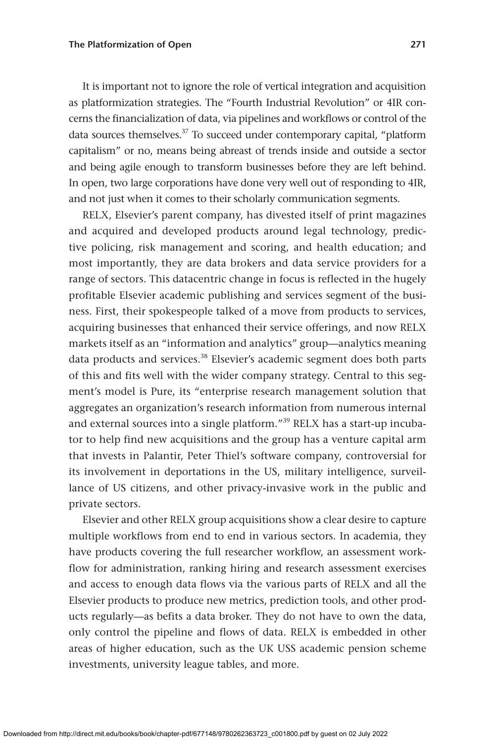It is important not to ignore the role of vertical integration and acquisition as platformization strategies. The "Fourth Industrial Revolution" or 4IR concerns the financialization of data, via pipelines and workflows or control of the data sources themselves.<sup>37</sup> To succeed under contemporary capital, "platform capitalism" or no, means being abreast of trends inside and outside a sector and being agile enough to transform businesses before they are left behind. In open, two large corporations have done very well out of responding to 4IR, and not just when it comes to their scholarly communication segments.

RELX, Elsevier's parent company, has divested itself of print magazines and acquired and developed products around legal technology, predictive policing, risk management and scoring, and health education; and most importantly, they are data brokers and data service providers for a range of sectors. This datacentric change in focus is reflected in the hugely profitable Elsevier academic publishing and services segment of the business. First, their spokespeople talked of a move from products to services, acquiring businesses that enhanced their service offerings, and now RELX markets itself as an "information and analytics" group—analytics meaning data products and services.<sup>38</sup> Elsevier's academic segment does both parts of this and fits well with the wider company strategy. Central to this segment's model is Pure, its "enterprise research management solution that aggregates an organization's research information from numerous internal and external sources into a single platform."<sup>39</sup> RELX has a start-up incubator to help find new acquisitions and the group has a venture capital arm that invests in Palantir, Peter Thiel's software company, controversial for its involvement in deportations in the US, military intelligence, surveillance of US citizens, and other privacy-invasive work in the public and private sectors.

Elsevier and other RELX group acquisitions show a clear desire to capture multiple workflows from end to end in various sectors. In academia, they have products covering the full researcher workflow, an assessment workflow for administration, ranking hiring and research assessment exercises and access to enough data flows via the various parts of RELX and all the Elsevier products to produce new metrics, prediction tools, and other products regularly—as befits a data broker. They do not have to own the data, only control the pipeline and flows of data. RELX is embedded in other areas of higher education, such as the UK USS academic pension scheme investments, university league tables, and more.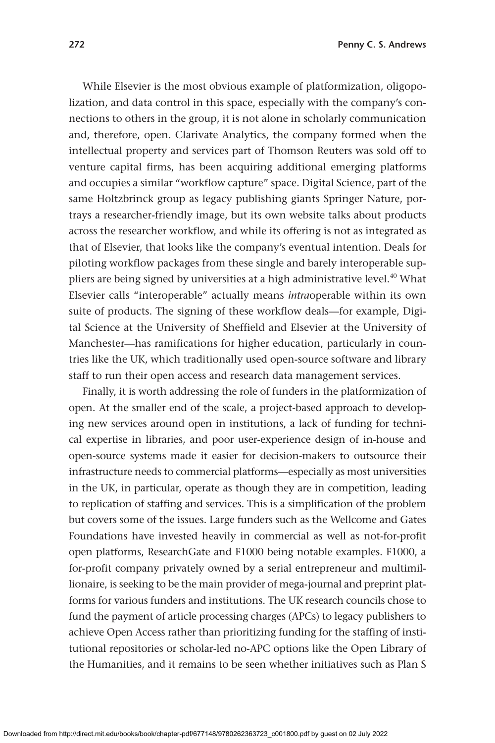While Elsevier is the most obvious example of platformization, oligopolization, and data control in this space, especially with the company's connections to others in the group, it is not alone in scholarly communication and, therefore, open. Clarivate Analytics, the company formed when the intellectual property and services part of Thomson Reuters was sold off to venture capital firms, has been acquiring additional emerging platforms and occupies a similar "workflow capture" space. Digital Science, part of the same Holtzbrinck group as legacy publishing giants Springer Nature, portrays a researcher-friendly image, but its own website talks about products across the researcher workflow, and while its offering is not as integrated as that of Elsevier, that looks like the company's eventual intention. Deals for piloting workflow packages from these single and barely interoperable suppliers are being signed by universities at a high administrative level.<sup>40</sup> What Elsevier calls "interoperable" actually means *intra*operable within its own suite of products. The signing of these workflow deals—for example, Digital Science at the University of Sheffield and Elsevier at the University of Manchester—has ramifications for higher education, particularly in countries like the UK, which traditionally used open-source software and library staff to run their open access and research data management services.

Finally, it is worth addressing the role of funders in the platformization of open. At the smaller end of the scale, a project-based approach to developing new services around open in institutions, a lack of funding for technical expertise in libraries, and poor user-experience design of in-house and open-source systems made it easier for decision-makers to outsource their infrastructure needs to commercial platforms—especially as most universities in the UK, in particular, operate as though they are in competition, leading to replication of staffing and services. This is a simplification of the problem but covers some of the issues. Large funders such as the Wellcome and Gates Foundations have invested heavily in commercial as well as not-for-profit open platforms, ResearchGate and F1000 being notable examples. F1000, a for-profit company privately owned by a serial entrepreneur and multimillionaire, is seeking to be the main provider of mega-journal and preprint platforms for various funders and institutions. The UK research councils chose to fund the payment of article processing charges (APCs) to legacy publishers to achieve Open Access rather than prioritizing funding for the staffing of institutional repositories or scholar-led no-APC options like the Open Library of the Humanities, and it remains to be seen whether initiatives such as Plan S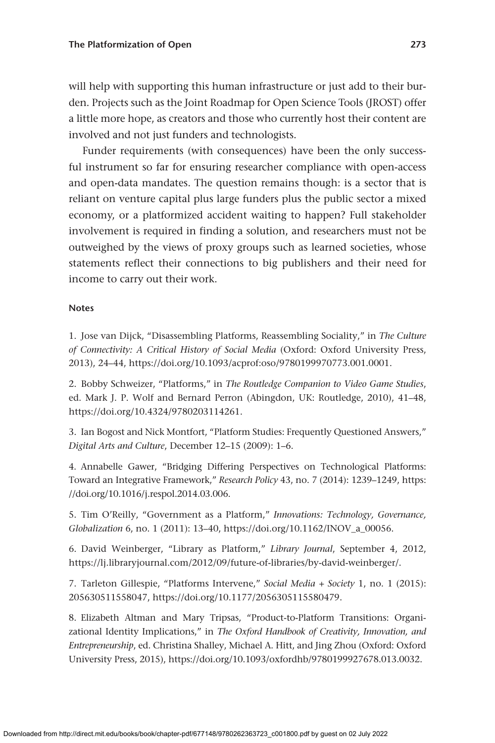will help with supporting this human infrastructure or just add to their burden. Projects such as the Joint Roadmap for Open Science Tools (JROST) offer a little more hope, as creators and those who currently host their content are involved and not just funders and technologists.

Funder requirements (with consequences) have been the only successful instrument so far for ensuring researcher compliance with open-access and open-data mandates. The question remains though: is a sector that is reliant on venture capital plus large funders plus the public sector a mixed economy, or a platformized accident waiting to happen? Full stakeholder involvement is required in finding a solution, and researchers must not be outweighed by the views of proxy groups such as learned societies, whose statements reflect their connections to big publishers and their need for income to carry out their work.

#### **Notes**

1. Jose van Dijck, "Disassembling Platforms, Reassembling Sociality," in *The Culture of Connectivity: A Critical History of Social Media* (Oxford: Oxford University Press, 2013), 24–44, [https://doi.org/10.1093/acprof:oso/9780199970773.001.0001.](https://doi.org/10.1093/acprof:oso/9780199970773.001.0001)

2. Bobby Schweizer, "Platforms," in *The Routledge Companion to Video Game Studies*, ed. Mark J. P. Wolf and Bernard Perron (Abingdon, UK: Routledge, 2010), 41–48, <https://doi.org/10.4324/9780203114261>.

3. Ian Bogost and Nick Montfort, "Platform Studies: Frequently Questioned Answers," *Digital Arts and Culture*, December 12–15 (2009): 1–6.

4. Annabelle Gawer, "Bridging Differing Perspectives on Technological Platforms: Toward an Integrative Framework," *Research Policy* 43, no. 7 (2014): 1239–1249, [https:](https://doi.org/10.1016/j.respol.2014.03.006) [//doi.org/10.1016/j.respol.2014.03.006.](https://doi.org/10.1016/j.respol.2014.03.006)

5. Tim O'Reilly, "Government as a Platform," *Innovations: Technology, Governance, Globalization* 6, no. 1 (2011): 13–40, [https://doi.org/10.1162/INOV\\_a\\_00056](https://doi.org/10.1162/INOV_a_00056).

6. David Weinberger, "Library as Platform," *Library Journal*, September 4, 2012, <https://lj.libraryjournal.com/2012/09/future-of-libraries/by-david-weinberger/>.

7. Tarleton Gillespie, "Platforms Intervene," *Social Media + Society* 1, no. 1 (2015): 205630511558047,<https://doi.org/10.1177/2056305115580479>.

8. Elizabeth Altman and Mary Tripsas, "Product-to-Platform Transitions: Organizational Identity Implications," in *The Oxford Handbook of Creativity, Innovation, and Entrepreneurship*, ed. Christina Shalley, Michael A. Hitt, and Jing Zhou (Oxford: Oxford University Press, 2015),<https://doi.org/10.1093/oxfordhb/9780199927678.013.0032>.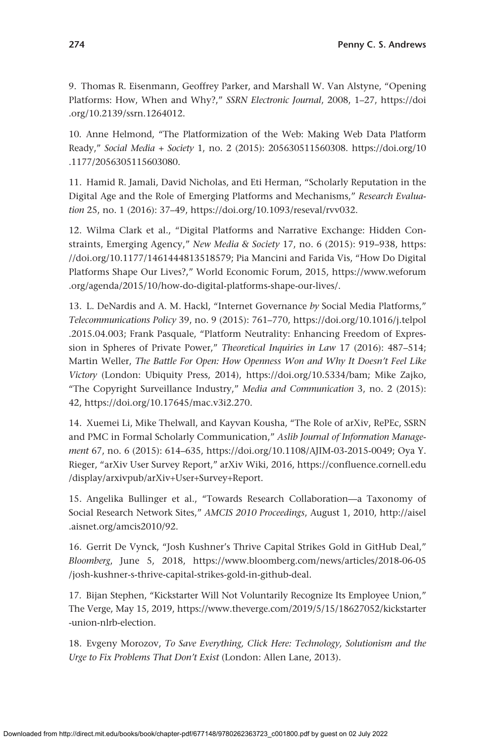9. Thomas R. Eisenmann, Geoffrey Parker, and Marshall W. Van Alstyne, "Opening Platforms: How, When and Why?," *SSRN Electronic Journal*, 2008, 1–27, [https://doi](https://doi.org/10.2139/ssrn.1264012) [.org/10.2139/ssrn.1264012](https://doi.org/10.2139/ssrn.1264012).

10. Anne Helmond, "The Platformization of the Web: Making Web Data Platform Ready," *Social Media + Society* 1, no. 2 (2015): 205630511560308. [https://doi.org/10](https://doi.org/10.1177/2056305115603080) [.1177/2056305115603080](https://doi.org/10.1177/2056305115603080).

11. Hamid R. Jamali, David Nicholas, and Eti Herman, "Scholarly Reputation in the Digital Age and the Role of Emerging Platforms and Mechanisms," *Research Evaluation* 25, no. 1 (2016): 37–49,<https://doi.org/10.1093/reseval/rvv032>.

12. Wilma Clark et al., "Digital Platforms and Narrative Exchange: Hidden Constraints, Emerging Agency," *New Media & Society* 17, no. 6 (2015): 919–938, [https:](https://doi.org/10.1177/1461444813518579) [//doi.org/10.1177/1461444813518579;](https://doi.org/10.1177/1461444813518579) Pia Mancini and Farida Vis, "How Do Digital Platforms Shape Our Lives?," World Economic Forum, 2015, [https://www.weforum](https://www.weforum.org/agenda/2015/10/how-do-digital-platforms-shape-our-lives/) [.org/agenda/2015/10/how-do-digital-platforms-shape-our-lives/](https://www.weforum.org/agenda/2015/10/how-do-digital-platforms-shape-our-lives/).

13. L. DeNardis and A. M. Hackl, "Internet Governance *by* Social Media Platforms," *Telecommunications Policy* 39, no. 9 (2015): 761–770, [https://doi.org/10.1016/j.telpol](https://doi.org/10.1016/j.telpol.2015.04.003) [.2015.04.003](https://doi.org/10.1016/j.telpol.2015.04.003); Frank Pasquale, "Platform Neutrality: Enhancing Freedom of Expression in Spheres of Private Power," *Theoretical Inquiries in Law* 17 (2016): 487–514; Martin Weller, *The Battle For Open: How Openness Won and Why It Doesn't Feel Like Victory* (London: Ubiquity Press, 2014), [https://doi.org/10.5334/bam;](https://doi.org/10.5334/bam) Mike Zajko, "The Copyright Surveillance Industry," *Media and Communication* 3, no. 2 (2015): 42, <https://doi.org/10.17645/mac.v3i2.270>.

14. Xuemei Li, Mike Thelwall, and Kayvan Kousha, "The Role of arXiv, RePEc, SSRN and PMC in Formal Scholarly Communication," *Aslib Journal of Information Management* 67, no. 6 (2015): 614–635, <https://doi.org/10.1108/AJIM-03-2015-0049>; Oya Y. Rieger, "arXiv User Survey Report," arXiv Wiki, 2016, [https://confluence.cornell.edu](https://confluence.cornell.edu/display/arxivpub/arXiv+User+Survey+Report) [/display/arxivpub/arXiv](https://confluence.cornell.edu/display/arxivpub/arXiv+User+Survey+Report)+User+Survey+Report.

15. Angelika Bullinger et al., "Towards Research Collaboration—a Taxonomy of Social Research Network Sites," *AMCIS 2010 Proceedings*, August 1, 2010, [http://aisel](http://aisel.aisnet.org/amcis2010/92) [.aisnet.org/amcis2010/92](http://aisel.aisnet.org/amcis2010/92).

16. Gerrit De Vynck, "Josh Kushner's Thrive Capital Strikes Gold in GitHub Deal," *Bloomberg*, June 5, 2018, [https://www.bloomberg.com/news/articles/2018-06-05](https://www.bloomberg.com/news/articles/2018-06-05/josh-kushner-s-thrive-capital-strikes-gold-in-github-deal) [/josh-kushner-s-thrive-capital-strikes-gold-in-github-deal.](https://www.bloomberg.com/news/articles/2018-06-05/josh-kushner-s-thrive-capital-strikes-gold-in-github-deal)

17. Bijan Stephen, "Kickstarter Will Not Voluntarily Recognize Its Employee Union," The Verge, May 15, 2019, [https://www.theverge.com/2019/5/15/18627052/kickstarter](https://www.theverge.com/2019/5/15/18627052/kickstarter-union-nlrb-election) [-union-nlrb-election.](https://www.theverge.com/2019/5/15/18627052/kickstarter-union-nlrb-election)

18. Evgeny Morozov, *To Save Everything, Click Here: Technology, Solutionism and the Urge to Fix Problems That Don't Exist* (London: Allen Lane, 2013).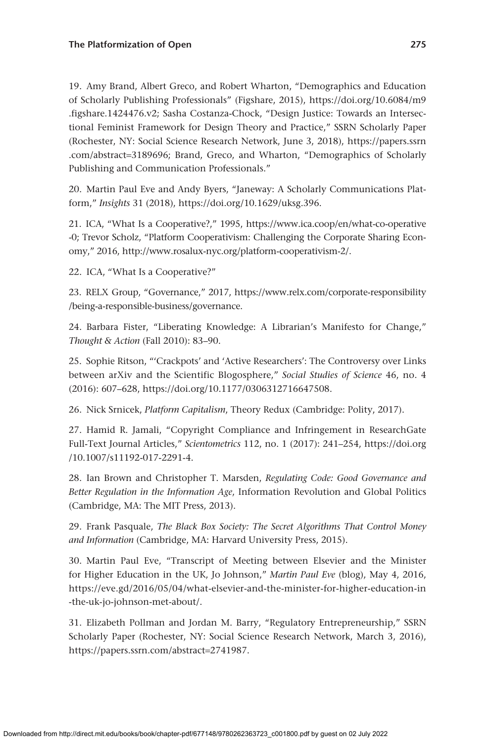19. Amy Brand, Albert Greco, and Robert Wharton, "Demographics and Education of Scholarly Publishing Professionals" (Figshare, 2015), [https://doi.org/10.6084/m9](https://doi.org/10.6084/m9.figshare.1424476.v2) [.figshare.1424476.v2;](https://doi.org/10.6084/m9.figshare.1424476.v2) Sasha Costanza-Chock, "Design Justice: Towards an Intersectional Feminist Framework for Design Theory and Practice," SSRN Scholarly Paper (Rochester, NY: Social Science Research Network, June 3, 2018), [https://papers.ssrn](https://papers.ssrn.com/abstract=3189696) [.com/abstract](https://papers.ssrn.com/abstract=3189696)=3189696; Brand, Greco, and Wharton, "Demographics of Scholarly Publishing and Communication Professionals."

20. Martin Paul Eve and Andy Byers, "Janeway: A Scholarly Communications Platform," *Insights* 31 (2018), [https://doi.org/10.1629/uksg.396.](https://doi.org/10.1629/uksg.396)

21. ICA, "What Is a Cooperative?," 1995, [https://www.ica.coop/en/what-co-operative](https://www.ica.coop/en/what-co-operative-0) [-0;](https://www.ica.coop/en/what-co-operative-0) Trevor Scholz, "Platform Cooperativism: Challenging the Corporate Sharing Economy," 2016, <http://www.rosalux-nyc.org/platform-cooperativism-2/>.

22. ICA, "What Is a Cooperative?"

23. RELX Group, "Governance," 2017, [https://www.relx.com/corporate-responsibility](https://www.relx.com/corporate-responsibility/being-a-responsible-business/governance) [/being-a-responsible-business/governance.](https://www.relx.com/corporate-responsibility/being-a-responsible-business/governance)

24. Barbara Fister, "Liberating Knowledge: A Librarian's Manifesto for Change," *Thought & Action* (Fall 2010): 83–90.

25. Sophie Ritson, "'Crackpots' and 'Active Researchers': The Controversy over Links between arXiv and the Scientific Blogosphere," *Social Studies of Science* 46, no. 4 (2016): 607–628, [https://doi.org/10.1177/0306312716647508.](https://doi.org/10.1177/0306312716647508)

26. Nick Srnicek, *Platform Capitalism*, Theory Redux (Cambridge: Polity, 2017).

27. Hamid R. Jamali, "Copyright Compliance and Infringement in ResearchGate Full-Text Journal Articles," *Scientometrics* 112, no. 1 (2017): 241–254, [https://doi.org](https://doi.org/10.1007/s11192-017-2291-4) [/10.1007/s11192-017-2291-4.](https://doi.org/10.1007/s11192-017-2291-4)

28. Ian Brown and Christopher T. Marsden, *Regulating Code: Good Governance and Better Regulation in the Information Age*, Information Revolution and Global Politics (Cambridge, MA: The MIT Press, 2013).

29. Frank Pasquale, *The Black Box Society: The Secret Algorithms That Control Money and Information* (Cambridge, MA: Harvard University Press, 2015).

30. Martin Paul Eve, "Transcript of Meeting between Elsevier and the Minister for Higher Education in the UK, Jo Johnson," *Martin Paul Eve* (blog), May 4, 2016, [https://eve.gd/2016/05/04/what-elsevier-and-the-minister-for-higher-education-in](https://eve.gd/2016/05/04/what-elsevier-and-the-minister-for-higher-education-in-the-uk-jo-johnson-met-about/) [-the-uk-jo-johnson-met-about/](https://eve.gd/2016/05/04/what-elsevier-and-the-minister-for-higher-education-in-the-uk-jo-johnson-met-about/).

31. Elizabeth Pollman and Jordan M. Barry, "Regulatory Entrepreneurship," SSRN Scholarly Paper (Rochester, NY: Social Science Research Network, March 3, 2016), [https://papers.ssrn.com/abstract](https://papers.ssrn.com/abstract=2741987)=2741987.